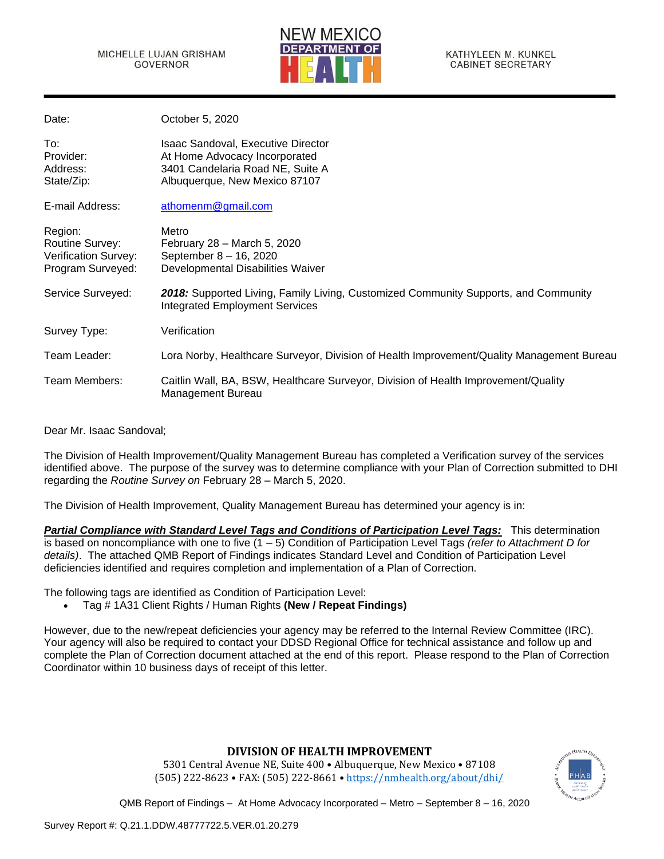

| Date:                                                                          | October 5, 2020                                                                                                                                 |
|--------------------------------------------------------------------------------|-------------------------------------------------------------------------------------------------------------------------------------------------|
| To:<br>Provider:<br>Address:<br>State/Zip:                                     | <b>Isaac Sandoval, Executive Director</b><br>At Home Advocacy Incorporated<br>3401 Candelaria Road NE, Suite A<br>Albuquerque, New Mexico 87107 |
| E-mail Address:                                                                | athomenm@gmail.com                                                                                                                              |
| Region:<br>Routine Survey:<br><b>Verification Survey:</b><br>Program Surveyed: | Metro<br>February 28 - March 5, 2020<br>September 8 - 16, 2020<br>Developmental Disabilities Waiver                                             |
| Service Surveyed:                                                              | 2018: Supported Living, Family Living, Customized Community Supports, and Community<br><b>Integrated Employment Services</b>                    |
| Survey Type:                                                                   | Verification                                                                                                                                    |
| Team Leader:                                                                   | Lora Norby, Healthcare Surveyor, Division of Health Improvement/Quality Management Bureau                                                       |
| Team Members:                                                                  | Caitlin Wall, BA, BSW, Healthcare Surveyor, Division of Health Improvement/Quality<br>Management Bureau                                         |

Dear Mr. Isaac Sandoval;

The Division of Health Improvement/Quality Management Bureau has completed a Verification survey of the services identified above. The purpose of the survey was to determine compliance with your Plan of Correction submitted to DHI regarding the *Routine Survey on* February 28 – March 5, 2020.

The Division of Health Improvement, Quality Management Bureau has determined your agency is in:

*Partial Compliance with Standard Level Tags and Conditions of Participation Level Tags:* This determination is based on noncompliance with one to five (1 – 5) Condition of Participation Level Tags *(refer to Attachment D for details)*. The attached QMB Report of Findings indicates Standard Level and Condition of Participation Level deficiencies identified and requires completion and implementation of a Plan of Correction.

The following tags are identified as Condition of Participation Level:

• Tag # 1A31 Client Rights / Human Rights **(New / Repeat Findings)**

However, due to the new/repeat deficiencies your agency may be referred to the Internal Review Committee (IRC). Your agency will also be required to contact your DDSD Regional Office for technical assistance and follow up and complete the Plan of Correction document attached at the end of this report. Please respond to the Plan of Correction Coordinator within 10 business days of receipt of this letter.

# **DIVISION OF HEALTH IMPROVEMENT**

5301 Central Avenue NE, Suite 400 • Albuquerque, New Mexico • 87108 (505) 222-8623 • FAX: (505) 222-8661 • <https://nmhealth.org/about/dhi/>

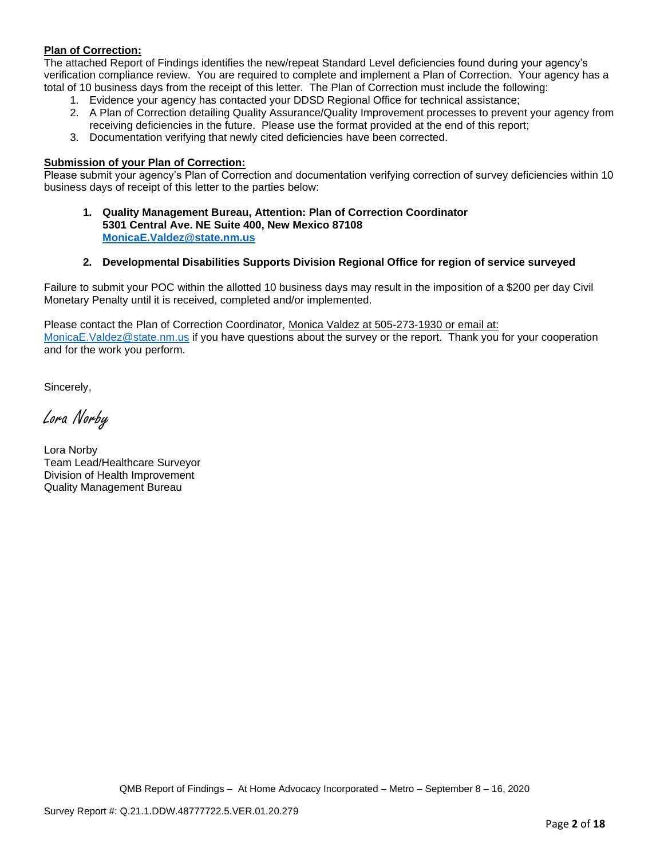# **Plan of Correction:**

The attached Report of Findings identifies the new/repeat Standard Level deficiencies found during your agency's verification compliance review. You are required to complete and implement a Plan of Correction. Your agency has a total of 10 business days from the receipt of this letter. The Plan of Correction must include the following:

- 1. Evidence your agency has contacted your DDSD Regional Office for technical assistance;
- 2. A Plan of Correction detailing Quality Assurance/Quality Improvement processes to prevent your agency from receiving deficiencies in the future. Please use the format provided at the end of this report;
- 3. Documentation verifying that newly cited deficiencies have been corrected.

#### **Submission of your Plan of Correction:**

Please submit your agency's Plan of Correction and documentation verifying correction of survey deficiencies within 10 business days of receipt of this letter to the parties below:

**1. Quality Management Bureau, Attention: Plan of Correction Coordinator 5301 Central Ave. NE Suite 400, New Mexico 87108 [MonicaE.Valdez@state.nm.us](mailto:MonicaE.Valdez@state.nm.us)**

## **2. Developmental Disabilities Supports Division Regional Office for region of service surveyed**

Failure to submit your POC within the allotted 10 business days may result in the imposition of a \$200 per day Civil Monetary Penalty until it is received, completed and/or implemented.

Please contact the Plan of Correction Coordinator, Monica Valdez at 505-273-1930 or email at: [MonicaE.Valdez@state.nm.us](mailto:MonicaE.Valdez@state.nm.us) if you have questions about the survey or the report. Thank you for your cooperation and for the work you perform.

Sincerely,

Lora Norby

Lora Norby Team Lead/Healthcare Surveyor Division of Health Improvement Quality Management Bureau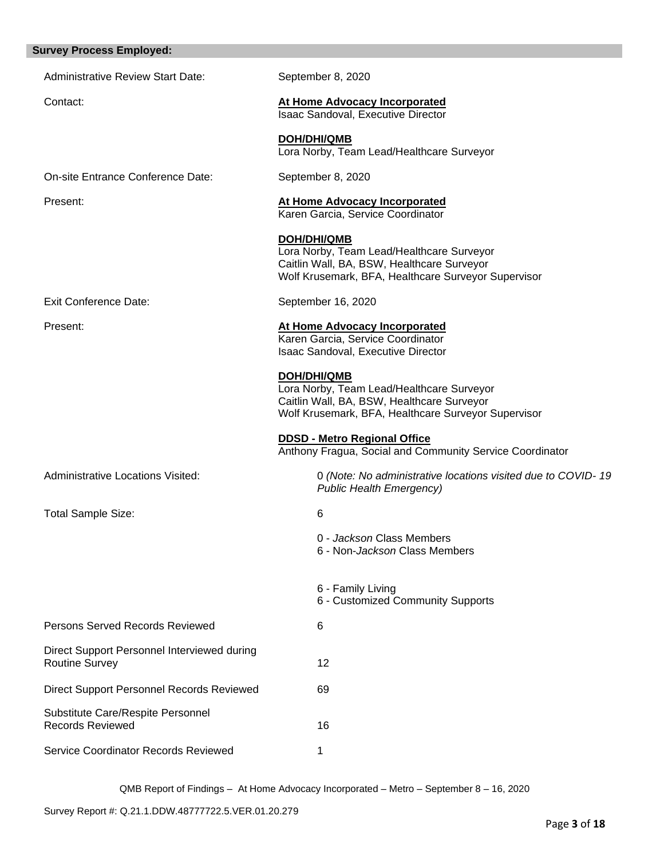|  | <b>Survey Process Employed:</b> |
|--|---------------------------------|
|--|---------------------------------|

| <b>Administrative Review Start Date:</b>                             | September 8, 2020                                                                                                                                                    |
|----------------------------------------------------------------------|----------------------------------------------------------------------------------------------------------------------------------------------------------------------|
| Contact:                                                             | <b>At Home Advocacy Incorporated</b><br>Isaac Sandoval, Executive Director                                                                                           |
|                                                                      | <b>DOH/DHI/QMB</b><br>Lora Norby, Team Lead/Healthcare Surveyor                                                                                                      |
| On-site Entrance Conference Date:                                    | September 8, 2020                                                                                                                                                    |
| Present:                                                             | At Home Advocacy Incorporated<br>Karen Garcia, Service Coordinator                                                                                                   |
|                                                                      | <b>DOH/DHI/QMB</b><br>Lora Norby, Team Lead/Healthcare Surveyor<br>Caitlin Wall, BA, BSW, Healthcare Surveyor<br>Wolf Krusemark, BFA, Healthcare Surveyor Supervisor |
| <b>Exit Conference Date:</b>                                         | September 16, 2020                                                                                                                                                   |
| Present:                                                             | <b>At Home Advocacy Incorporated</b><br>Karen Garcia, Service Coordinator<br>Isaac Sandoval, Executive Director                                                      |
|                                                                      | DOH/DHI/QMB<br>Lora Norby, Team Lead/Healthcare Surveyor<br>Caitlin Wall, BA, BSW, Healthcare Surveyor<br>Wolf Krusemark, BFA, Healthcare Surveyor Supervisor        |
|                                                                      | <b>DDSD - Metro Regional Office</b><br>Anthony Fragua, Social and Community Service Coordinator                                                                      |
| <b>Administrative Locations Visited:</b>                             | 0 (Note: No administrative locations visited due to COVID-19<br><b>Public Health Emergency)</b>                                                                      |
| <b>Total Sample Size:</b>                                            | 6                                                                                                                                                                    |
|                                                                      | 0 - Jackson Class Members<br>6 - Non-Jackson Class Members                                                                                                           |
|                                                                      | 6 - Family Living<br>6 - Customized Community Supports                                                                                                               |
| Persons Served Records Reviewed                                      | 6                                                                                                                                                                    |
| Direct Support Personnel Interviewed during<br><b>Routine Survey</b> | 12                                                                                                                                                                   |
| Direct Support Personnel Records Reviewed                            | 69                                                                                                                                                                   |
| Substitute Care/Respite Personnel<br><b>Records Reviewed</b>         | 16                                                                                                                                                                   |
| Service Coordinator Records Reviewed                                 | 1                                                                                                                                                                    |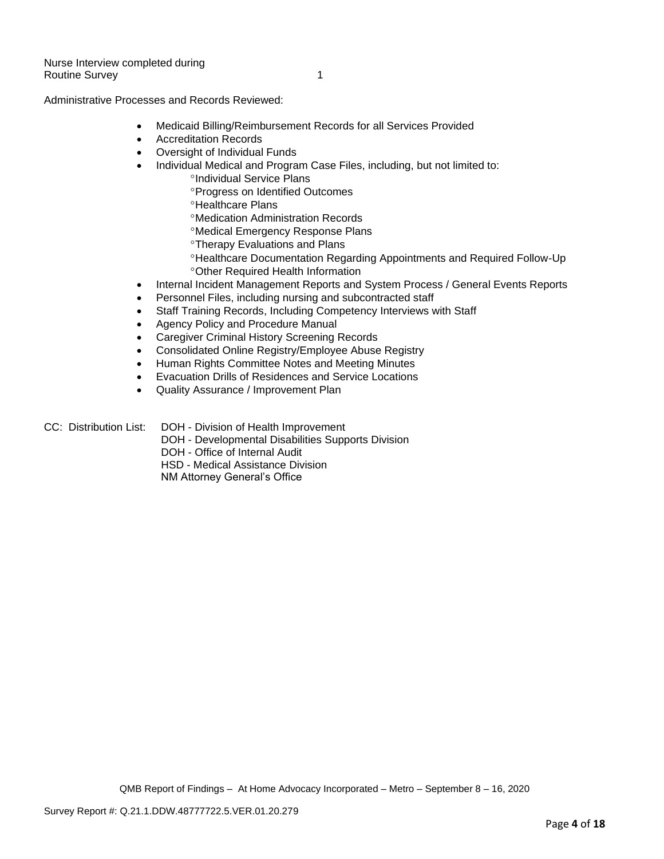Administrative Processes and Records Reviewed:

- Medicaid Billing/Reimbursement Records for all Services Provided
- Accreditation Records
- Oversight of Individual Funds
- Individual Medical and Program Case Files, including, but not limited to:
	- <sup>o</sup>Individual Service Plans
	- **Progress on Identified Outcomes**
	- **<sup>o</sup>Healthcare Plans**
	- Medication Administration Records
	- Medical Emergency Response Plans
	- **<sup>o</sup>Therapy Evaluations and Plans**
	- Healthcare Documentation Regarding Appointments and Required Follow-Up Other Required Health Information
- Internal Incident Management Reports and System Process / General Events Reports
- Personnel Files, including nursing and subcontracted staff
- Staff Training Records, Including Competency Interviews with Staff
- Agency Policy and Procedure Manual
- Caregiver Criminal History Screening Records
- Consolidated Online Registry/Employee Abuse Registry
- Human Rights Committee Notes and Meeting Minutes
- Evacuation Drills of Residences and Service Locations
- Quality Assurance / Improvement Plan
- CC: Distribution List: DOH Division of Health Improvement
	- DOH Developmental Disabilities Supports Division
	- DOH Office of Internal Audit
	- HSD Medical Assistance Division
	- NM Attorney General's Office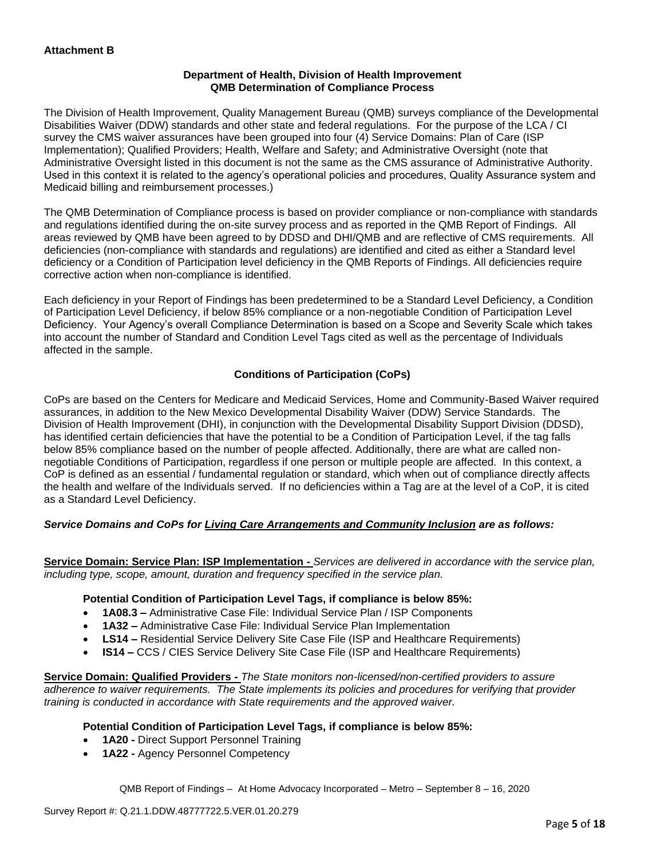## **Department of Health, Division of Health Improvement QMB Determination of Compliance Process**

The Division of Health Improvement, Quality Management Bureau (QMB) surveys compliance of the Developmental Disabilities Waiver (DDW) standards and other state and federal regulations. For the purpose of the LCA / CI survey the CMS waiver assurances have been grouped into four (4) Service Domains: Plan of Care (ISP Implementation); Qualified Providers; Health, Welfare and Safety; and Administrative Oversight (note that Administrative Oversight listed in this document is not the same as the CMS assurance of Administrative Authority. Used in this context it is related to the agency's operational policies and procedures, Quality Assurance system and Medicaid billing and reimbursement processes.)

The QMB Determination of Compliance process is based on provider compliance or non-compliance with standards and regulations identified during the on-site survey process and as reported in the QMB Report of Findings. All areas reviewed by QMB have been agreed to by DDSD and DHI/QMB and are reflective of CMS requirements. All deficiencies (non-compliance with standards and regulations) are identified and cited as either a Standard level deficiency or a Condition of Participation level deficiency in the QMB Reports of Findings. All deficiencies require corrective action when non-compliance is identified.

Each deficiency in your Report of Findings has been predetermined to be a Standard Level Deficiency, a Condition of Participation Level Deficiency, if below 85% compliance or a non-negotiable Condition of Participation Level Deficiency. Your Agency's overall Compliance Determination is based on a Scope and Severity Scale which takes into account the number of Standard and Condition Level Tags cited as well as the percentage of Individuals affected in the sample.

# **Conditions of Participation (CoPs)**

CoPs are based on the Centers for Medicare and Medicaid Services, Home and Community-Based Waiver required assurances, in addition to the New Mexico Developmental Disability Waiver (DDW) Service Standards. The Division of Health Improvement (DHI), in conjunction with the Developmental Disability Support Division (DDSD), has identified certain deficiencies that have the potential to be a Condition of Participation Level, if the tag falls below 85% compliance based on the number of people affected. Additionally, there are what are called nonnegotiable Conditions of Participation, regardless if one person or multiple people are affected. In this context, a CoP is defined as an essential / fundamental regulation or standard, which when out of compliance directly affects the health and welfare of the Individuals served. If no deficiencies within a Tag are at the level of a CoP, it is cited as a Standard Level Deficiency.

# *Service Domains and CoPs for Living Care Arrangements and Community Inclusion are as follows:*

**Service Domain: Service Plan: ISP Implementation -** *Services are delivered in accordance with the service plan, including type, scope, amount, duration and frequency specified in the service plan.*

### **Potential Condition of Participation Level Tags, if compliance is below 85%:**

- **1A08.3 –** Administrative Case File: Individual Service Plan / ISP Components
- **1A32 –** Administrative Case File: Individual Service Plan Implementation
- **LS14 –** Residential Service Delivery Site Case File (ISP and Healthcare Requirements)
- **IS14 –** CCS / CIES Service Delivery Site Case File (ISP and Healthcare Requirements)

**Service Domain: Qualified Providers -** *The State monitors non-licensed/non-certified providers to assure adherence to waiver requirements. The State implements its policies and procedures for verifying that provider training is conducted in accordance with State requirements and the approved waiver.*

### **Potential Condition of Participation Level Tags, if compliance is below 85%:**

- **1A20 -** Direct Support Personnel Training
- **1A22 -** Agency Personnel Competency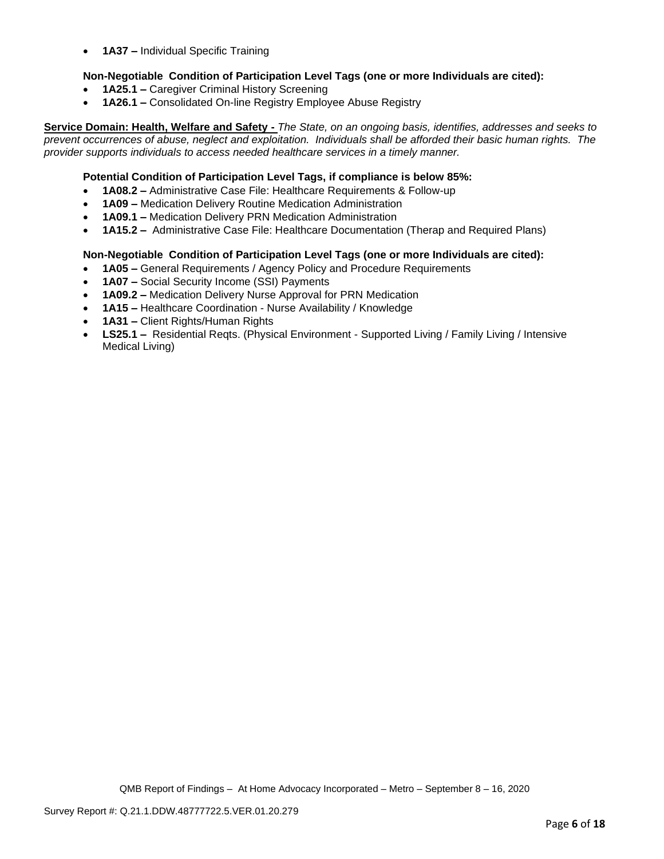• **1A37 –** Individual Specific Training

# **Non-Negotiable Condition of Participation Level Tags (one or more Individuals are cited):**

- **1A25.1 –** Caregiver Criminal History Screening
- **1A26.1 –** Consolidated On-line Registry Employee Abuse Registry

**Service Domain: Health, Welfare and Safety -** *The State, on an ongoing basis, identifies, addresses and seeks to prevent occurrences of abuse, neglect and exploitation. Individuals shall be afforded their basic human rights. The provider supports individuals to access needed healthcare services in a timely manner.*

## **Potential Condition of Participation Level Tags, if compliance is below 85%:**

- **1A08.2 –** Administrative Case File: Healthcare Requirements & Follow-up
- **1A09 –** Medication Delivery Routine Medication Administration
- **1A09.1 –** Medication Delivery PRN Medication Administration
- **1A15.2 –** Administrative Case File: Healthcare Documentation (Therap and Required Plans)

### **Non-Negotiable Condition of Participation Level Tags (one or more Individuals are cited):**

- **1A05 –** General Requirements / Agency Policy and Procedure Requirements
- **1A07 –** Social Security Income (SSI) Payments
- **1A09.2 –** Medication Delivery Nurse Approval for PRN Medication
- **1A15 –** Healthcare Coordination Nurse Availability / Knowledge
- **1A31 –** Client Rights/Human Rights
- **LS25.1 –** Residential Reqts. (Physical Environment Supported Living / Family Living / Intensive Medical Living)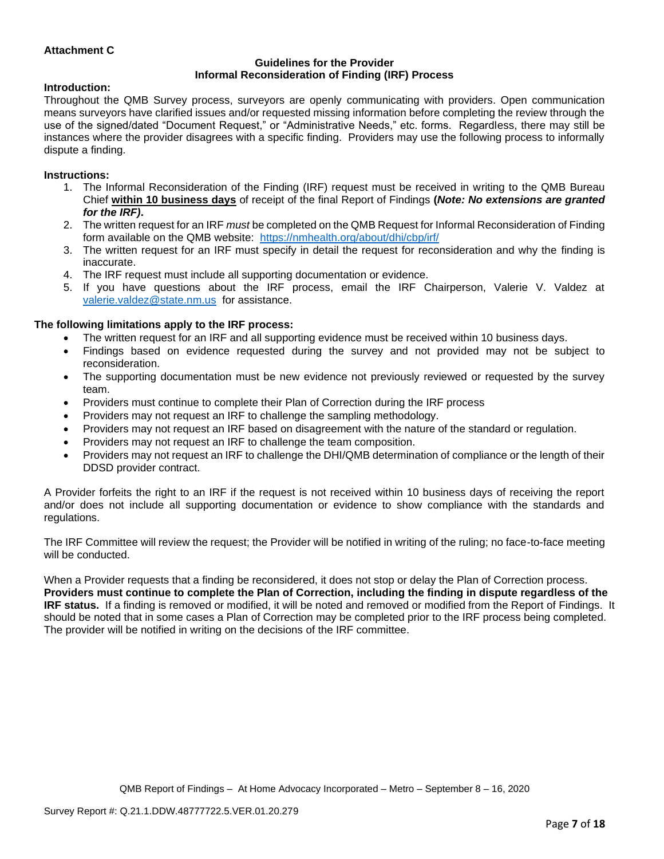## **Attachment C**

#### **Guidelines for the Provider Informal Reconsideration of Finding (IRF) Process**

#### **Introduction:**

Throughout the QMB Survey process, surveyors are openly communicating with providers. Open communication means surveyors have clarified issues and/or requested missing information before completing the review through the use of the signed/dated "Document Request," or "Administrative Needs," etc. forms. Regardless, there may still be instances where the provider disagrees with a specific finding. Providers may use the following process to informally dispute a finding.

#### **Instructions:**

- 1. The Informal Reconsideration of the Finding (IRF) request must be received in writing to the QMB Bureau Chief **within 10 business days** of receipt of the final Report of Findings **(***Note: No extensions are granted for the IRF)***.**
- 2. The written request for an IRF *must* be completed on the QMB Request for Informal Reconsideration of Finding form available on the QMB website: <https://nmhealth.org/about/dhi/cbp/irf/>
- 3. The written request for an IRF must specify in detail the request for reconsideration and why the finding is inaccurate.
- 4. The IRF request must include all supporting documentation or evidence.
- 5. If you have questions about the IRF process, email the IRF Chairperson, Valerie V. Valdez at [valerie.valdez@state.nm.us](mailto:valerie.valdez@state.nm.us) for assistance.

#### **The following limitations apply to the IRF process:**

- The written request for an IRF and all supporting evidence must be received within 10 business days.
- Findings based on evidence requested during the survey and not provided may not be subject to reconsideration.
- The supporting documentation must be new evidence not previously reviewed or requested by the survey team.
- Providers must continue to complete their Plan of Correction during the IRF process
- Providers may not request an IRF to challenge the sampling methodology.
- Providers may not request an IRF based on disagreement with the nature of the standard or regulation.
- Providers may not request an IRF to challenge the team composition.
- Providers may not request an IRF to challenge the DHI/QMB determination of compliance or the length of their DDSD provider contract.

A Provider forfeits the right to an IRF if the request is not received within 10 business days of receiving the report and/or does not include all supporting documentation or evidence to show compliance with the standards and regulations.

The IRF Committee will review the request; the Provider will be notified in writing of the ruling; no face-to-face meeting will be conducted.

When a Provider requests that a finding be reconsidered, it does not stop or delay the Plan of Correction process. **Providers must continue to complete the Plan of Correction, including the finding in dispute regardless of the IRF status.** If a finding is removed or modified, it will be noted and removed or modified from the Report of Findings. It should be noted that in some cases a Plan of Correction may be completed prior to the IRF process being completed. The provider will be notified in writing on the decisions of the IRF committee.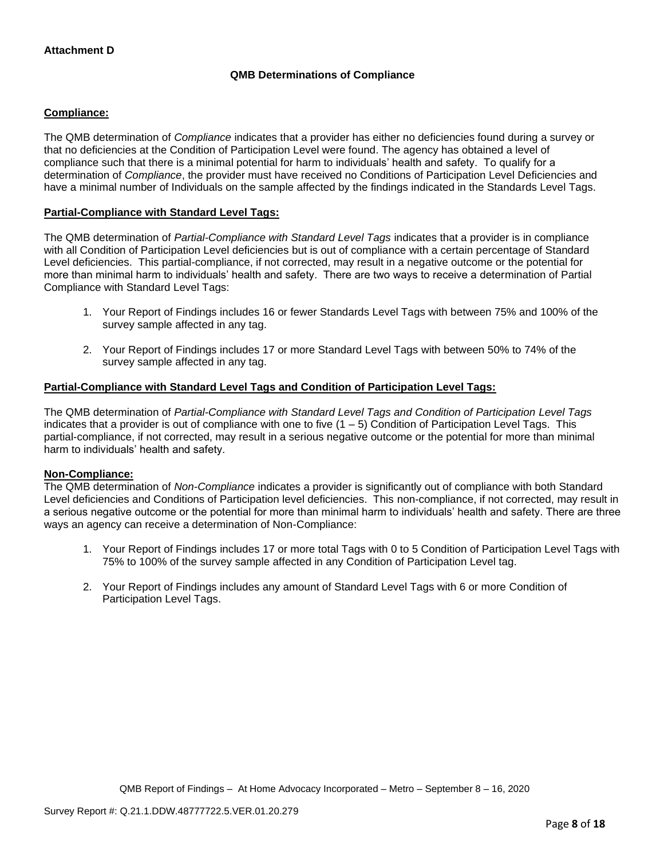# **QMB Determinations of Compliance**

## **Compliance:**

The QMB determination of *Compliance* indicates that a provider has either no deficiencies found during a survey or that no deficiencies at the Condition of Participation Level were found. The agency has obtained a level of compliance such that there is a minimal potential for harm to individuals' health and safety. To qualify for a determination of *Compliance*, the provider must have received no Conditions of Participation Level Deficiencies and have a minimal number of Individuals on the sample affected by the findings indicated in the Standards Level Tags.

## **Partial-Compliance with Standard Level Tags:**

The QMB determination of *Partial-Compliance with Standard Level Tags* indicates that a provider is in compliance with all Condition of Participation Level deficiencies but is out of compliance with a certain percentage of Standard Level deficiencies. This partial-compliance, if not corrected, may result in a negative outcome or the potential for more than minimal harm to individuals' health and safety. There are two ways to receive a determination of Partial Compliance with Standard Level Tags:

- 1. Your Report of Findings includes 16 or fewer Standards Level Tags with between 75% and 100% of the survey sample affected in any tag.
- 2. Your Report of Findings includes 17 or more Standard Level Tags with between 50% to 74% of the survey sample affected in any tag.

# **Partial-Compliance with Standard Level Tags and Condition of Participation Level Tags:**

The QMB determination of *Partial-Compliance with Standard Level Tags and Condition of Participation Level Tags*  indicates that a provider is out of compliance with one to five  $(1 - 5)$  Condition of Participation Level Tags. This partial-compliance, if not corrected, may result in a serious negative outcome or the potential for more than minimal harm to individuals' health and safety.

### **Non-Compliance:**

The QMB determination of *Non-Compliance* indicates a provider is significantly out of compliance with both Standard Level deficiencies and Conditions of Participation level deficiencies. This non-compliance, if not corrected, may result in a serious negative outcome or the potential for more than minimal harm to individuals' health and safety. There are three ways an agency can receive a determination of Non-Compliance:

- 1. Your Report of Findings includes 17 or more total Tags with 0 to 5 Condition of Participation Level Tags with 75% to 100% of the survey sample affected in any Condition of Participation Level tag.
- 2. Your Report of Findings includes any amount of Standard Level Tags with 6 or more Condition of Participation Level Tags.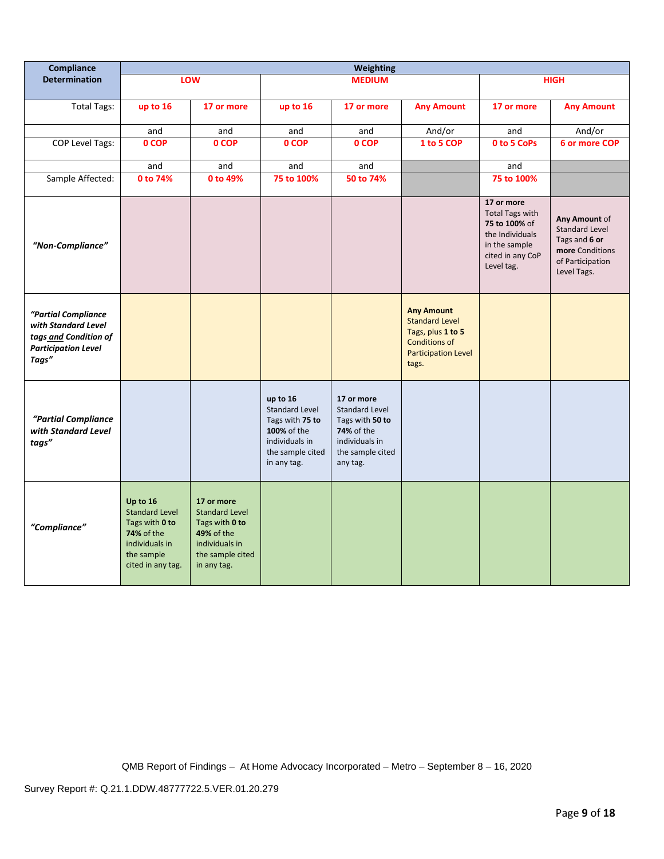| Compliance                                                                                                 | Weighting                                                                                                                     |                                                                                                                          |                                                                                                                   |                                                                                                                        |                                                                                                                                |                                                                                                                             |                                                                                                               |
|------------------------------------------------------------------------------------------------------------|-------------------------------------------------------------------------------------------------------------------------------|--------------------------------------------------------------------------------------------------------------------------|-------------------------------------------------------------------------------------------------------------------|------------------------------------------------------------------------------------------------------------------------|--------------------------------------------------------------------------------------------------------------------------------|-----------------------------------------------------------------------------------------------------------------------------|---------------------------------------------------------------------------------------------------------------|
| <b>Determination</b>                                                                                       |                                                                                                                               | LOW                                                                                                                      |                                                                                                                   | <b>MEDIUM</b>                                                                                                          |                                                                                                                                | <b>HIGH</b>                                                                                                                 |                                                                                                               |
| <b>Total Tags:</b>                                                                                         | up to 16                                                                                                                      | 17 or more                                                                                                               | up to 16                                                                                                          | 17 or more                                                                                                             | <b>Any Amount</b>                                                                                                              | 17 or more                                                                                                                  | <b>Any Amount</b>                                                                                             |
|                                                                                                            | and                                                                                                                           | and                                                                                                                      | and                                                                                                               | and                                                                                                                    | And/or                                                                                                                         | and                                                                                                                         | And/or                                                                                                        |
| <b>COP Level Tags:</b>                                                                                     | 0 COP                                                                                                                         | 0 COP                                                                                                                    | 0 COP                                                                                                             | 0 COP                                                                                                                  | 1 to 5 COP                                                                                                                     | 0 to 5 CoPs                                                                                                                 | 6 or more COP                                                                                                 |
|                                                                                                            | and                                                                                                                           | and                                                                                                                      | and                                                                                                               | and                                                                                                                    |                                                                                                                                | and                                                                                                                         |                                                                                                               |
| Sample Affected:                                                                                           | 0 to 74%                                                                                                                      | 0 to 49%                                                                                                                 | 75 to 100%                                                                                                        | 50 to 74%                                                                                                              |                                                                                                                                | 75 to 100%                                                                                                                  |                                                                                                               |
| "Non-Compliance"                                                                                           |                                                                                                                               |                                                                                                                          |                                                                                                                   |                                                                                                                        |                                                                                                                                | 17 or more<br><b>Total Tags with</b><br>75 to 100% of<br>the Individuals<br>in the sample<br>cited in any CoP<br>Level tag. | Any Amount of<br><b>Standard Level</b><br>Tags and 6 or<br>more Conditions<br>of Participation<br>Level Tags. |
| "Partial Compliance<br>with Standard Level<br>tags and Condition of<br><b>Participation Level</b><br>Tags" |                                                                                                                               |                                                                                                                          |                                                                                                                   |                                                                                                                        | <b>Any Amount</b><br><b>Standard Level</b><br>Tags, plus 1 to 5<br><b>Conditions of</b><br><b>Participation Level</b><br>tags. |                                                                                                                             |                                                                                                               |
| "Partial Compliance<br>with Standard Level<br>tags"                                                        |                                                                                                                               |                                                                                                                          | up to 16<br>Standard Level<br>Tags with 75 to<br>100% of the<br>individuals in<br>the sample cited<br>in any tag. | 17 or more<br><b>Standard Level</b><br>Tags with 50 to<br>74% of the<br>individuals in<br>the sample cited<br>any tag. |                                                                                                                                |                                                                                                                             |                                                                                                               |
| "Compliance"                                                                                               | Up to 16<br><b>Standard Level</b><br>Tags with 0 to<br><b>74%</b> of the<br>individuals in<br>the sample<br>cited in any tag. | 17 or more<br><b>Standard Level</b><br>Tags with 0 to<br>49% of the<br>individuals in<br>the sample cited<br>in any tag. |                                                                                                                   |                                                                                                                        |                                                                                                                                |                                                                                                                             |                                                                                                               |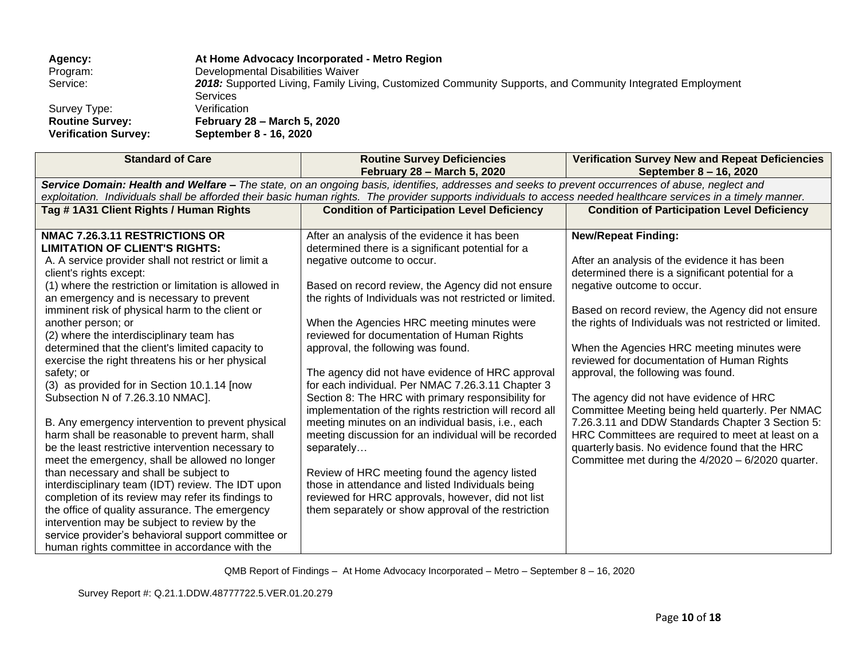| Agency:                     | At Home Advocacy Incorporated - Metro Region                                                              |
|-----------------------------|-----------------------------------------------------------------------------------------------------------|
| Program:                    | Developmental Disabilities Waiver                                                                         |
| Service:                    | 2018: Supported Living, Family Living, Customized Community Supports, and Community Integrated Employment |
|                             | <b>Services</b>                                                                                           |
| Survey Type:                | Verification                                                                                              |
| <b>Routine Survey:</b>      | February 28 - March 5, 2020                                                                               |
| <b>Verification Survey:</b> | September 8 - 16, 2020                                                                                    |

| <b>Standard of Care</b>                                                                                                                                                                                                                                                                                                                                                                                                                                                                                                                                                                                                                                                                                                                                                                                                                                                                                                                                                                                                                                                                                                                                                    | <b>Routine Survey Deficiencies</b><br>February 28 - March 5, 2020                                                                                                                                                                                                                                                                                                                                                                                                                                                                                                                                                                                                                                                                                                                                                                                                                                                                                            | <b>Verification Survey New and Repeat Deficiencies</b><br>September 8 - 16, 2020                                                                                                                                                                                                                                                                                                                                                                                                                                                                                                                                                                                                                                                  |
|----------------------------------------------------------------------------------------------------------------------------------------------------------------------------------------------------------------------------------------------------------------------------------------------------------------------------------------------------------------------------------------------------------------------------------------------------------------------------------------------------------------------------------------------------------------------------------------------------------------------------------------------------------------------------------------------------------------------------------------------------------------------------------------------------------------------------------------------------------------------------------------------------------------------------------------------------------------------------------------------------------------------------------------------------------------------------------------------------------------------------------------------------------------------------|--------------------------------------------------------------------------------------------------------------------------------------------------------------------------------------------------------------------------------------------------------------------------------------------------------------------------------------------------------------------------------------------------------------------------------------------------------------------------------------------------------------------------------------------------------------------------------------------------------------------------------------------------------------------------------------------------------------------------------------------------------------------------------------------------------------------------------------------------------------------------------------------------------------------------------------------------------------|-----------------------------------------------------------------------------------------------------------------------------------------------------------------------------------------------------------------------------------------------------------------------------------------------------------------------------------------------------------------------------------------------------------------------------------------------------------------------------------------------------------------------------------------------------------------------------------------------------------------------------------------------------------------------------------------------------------------------------------|
|                                                                                                                                                                                                                                                                                                                                                                                                                                                                                                                                                                                                                                                                                                                                                                                                                                                                                                                                                                                                                                                                                                                                                                            | Service Domain: Health and Welfare - The state, on an ongoing basis, identifies, addresses and seeks to prevent occurrences of abuse, neglect and                                                                                                                                                                                                                                                                                                                                                                                                                                                                                                                                                                                                                                                                                                                                                                                                            |                                                                                                                                                                                                                                                                                                                                                                                                                                                                                                                                                                                                                                                                                                                                   |
|                                                                                                                                                                                                                                                                                                                                                                                                                                                                                                                                                                                                                                                                                                                                                                                                                                                                                                                                                                                                                                                                                                                                                                            | exploitation. Individuals shall be afforded their basic human rights. The provider supports individuals to access needed healthcare services in a timely manner.                                                                                                                                                                                                                                                                                                                                                                                                                                                                                                                                                                                                                                                                                                                                                                                             |                                                                                                                                                                                                                                                                                                                                                                                                                                                                                                                                                                                                                                                                                                                                   |
| Tag #1A31 Client Rights / Human Rights                                                                                                                                                                                                                                                                                                                                                                                                                                                                                                                                                                                                                                                                                                                                                                                                                                                                                                                                                                                                                                                                                                                                     | <b>Condition of Participation Level Deficiency</b>                                                                                                                                                                                                                                                                                                                                                                                                                                                                                                                                                                                                                                                                                                                                                                                                                                                                                                           | <b>Condition of Participation Level Deficiency</b>                                                                                                                                                                                                                                                                                                                                                                                                                                                                                                                                                                                                                                                                                |
| NMAC 7.26.3.11 RESTRICTIONS OR<br><b>LIMITATION OF CLIENT'S RIGHTS:</b><br>A. A service provider shall not restrict or limit a<br>client's rights except:<br>(1) where the restriction or limitation is allowed in<br>an emergency and is necessary to prevent<br>imminent risk of physical harm to the client or<br>another person; or<br>(2) where the interdisciplinary team has<br>determined that the client's limited capacity to<br>exercise the right threatens his or her physical<br>safety; or<br>(3) as provided for in Section 10.1.14 [now<br>Subsection N of 7.26.3.10 NMAC].<br>B. Any emergency intervention to prevent physical<br>harm shall be reasonable to prevent harm, shall<br>be the least restrictive intervention necessary to<br>meet the emergency, shall be allowed no longer<br>than necessary and shall be subject to<br>interdisciplinary team (IDT) review. The IDT upon<br>completion of its review may refer its findings to<br>the office of quality assurance. The emergency<br>intervention may be subject to review by the<br>service provider's behavioral support committee or<br>human rights committee in accordance with the | After an analysis of the evidence it has been<br>determined there is a significant potential for a<br>negative outcome to occur.<br>Based on record review, the Agency did not ensure<br>the rights of Individuals was not restricted or limited.<br>When the Agencies HRC meeting minutes were<br>reviewed for documentation of Human Rights<br>approval, the following was found.<br>The agency did not have evidence of HRC approval<br>for each individual. Per NMAC 7.26.3.11 Chapter 3<br>Section 8: The HRC with primary responsibility for<br>implementation of the rights restriction will record all<br>meeting minutes on an individual basis, i.e., each<br>meeting discussion for an individual will be recorded<br>separately<br>Review of HRC meeting found the agency listed<br>those in attendance and listed Individuals being<br>reviewed for HRC approvals, however, did not list<br>them separately or show approval of the restriction | <b>New/Repeat Finding:</b><br>After an analysis of the evidence it has been<br>determined there is a significant potential for a<br>negative outcome to occur.<br>Based on record review, the Agency did not ensure<br>the rights of Individuals was not restricted or limited.<br>When the Agencies HRC meeting minutes were<br>reviewed for documentation of Human Rights<br>approval, the following was found.<br>The agency did not have evidence of HRC<br>Committee Meeting being held quarterly. Per NMAC<br>7.26.3.11 and DDW Standards Chapter 3 Section 5:<br>HRC Committees are required to meet at least on a<br>quarterly basis. No evidence found that the HRC<br>Committee met during the 4/2020 - 6/2020 quarter. |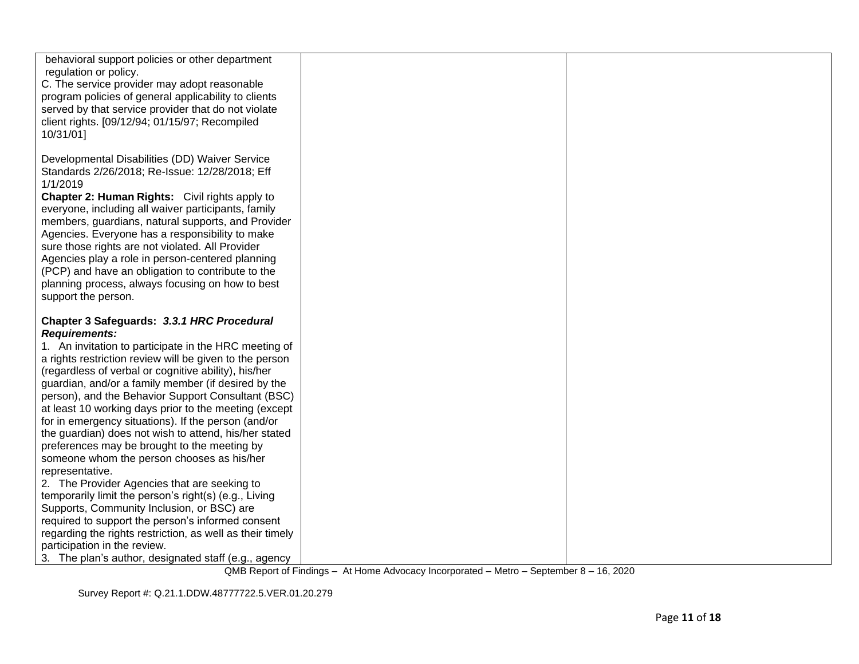| behavioral support policies or other department<br>regulation or policy.<br>C. The service provider may adopt reasonable<br>program policies of general applicability to clients<br>served by that service provider that do not violate<br>client rights. [09/12/94; 01/15/97; Recompiled<br>10/31/01]                                        |  |
|-----------------------------------------------------------------------------------------------------------------------------------------------------------------------------------------------------------------------------------------------------------------------------------------------------------------------------------------------|--|
| Developmental Disabilities (DD) Waiver Service<br>Standards 2/26/2018; Re-Issue: 12/28/2018; Eff<br>1/1/2019<br><b>Chapter 2: Human Rights:</b> Civil rights apply to<br>everyone, including all waiver participants, family                                                                                                                  |  |
| members, guardians, natural supports, and Provider<br>Agencies. Everyone has a responsibility to make<br>sure those rights are not violated. All Provider<br>Agencies play a role in person-centered planning<br>(PCP) and have an obligation to contribute to the<br>planning process, always focusing on how to best<br>support the person. |  |
| Chapter 3 Safeguards: 3.3.1 HRC Procedural<br><b>Requirements:</b><br>1. An invitation to participate in the HRC meeting of<br>a rights restriction review will be given to the person<br>(regardless of verbal or cognitive ability), his/her                                                                                                |  |
| guardian, and/or a family member (if desired by the<br>person), and the Behavior Support Consultant (BSC)<br>at least 10 working days prior to the meeting (except<br>for in emergency situations). If the person (and/or<br>the guardian) does not wish to attend, his/her stated                                                            |  |
| preferences may be brought to the meeting by<br>someone whom the person chooses as his/her<br>representative.<br>2. The Provider Agencies that are seeking to<br>temporarily limit the person's right(s) (e.g., Living                                                                                                                        |  |
| Supports, Community Inclusion, or BSC) are<br>required to support the person's informed consent<br>regarding the rights restriction, as well as their timely<br>participation in the review.<br>3. The plan's author, designated staff (e.g., agency                                                                                          |  |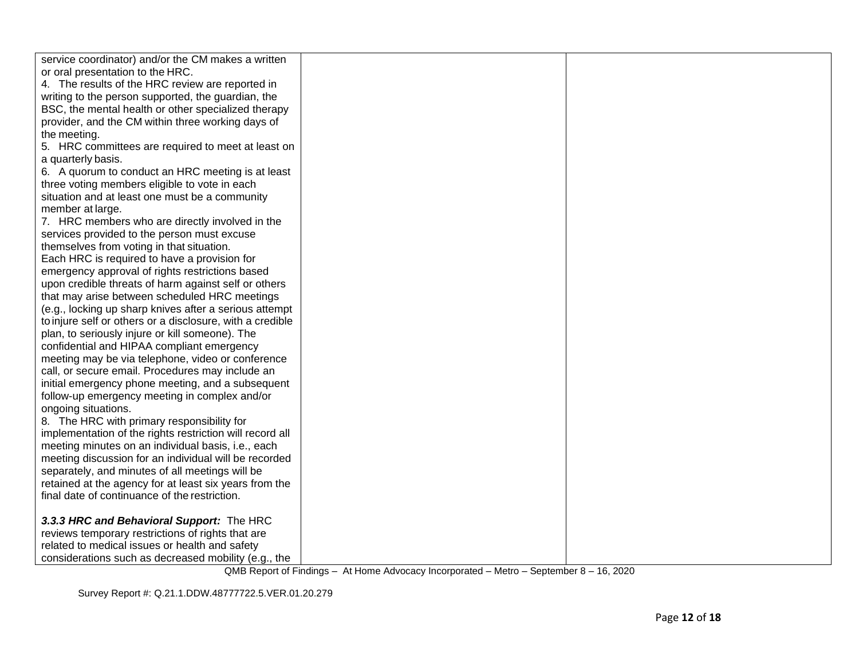| service coordinator) and/or the CM makes a written        |  |
|-----------------------------------------------------------|--|
| or oral presentation to the HRC.                          |  |
| 4. The results of the HRC review are reported in          |  |
| writing to the person supported, the guardian, the        |  |
| BSC, the mental health or other specialized therapy       |  |
| provider, and the CM within three working days of         |  |
| the meeting.                                              |  |
| 5. HRC committees are required to meet at least on        |  |
| a quarterly basis.                                        |  |
| 6. A quorum to conduct an HRC meeting is at least         |  |
| three voting members eligible to vote in each             |  |
| situation and at least one must be a community            |  |
| member at large.                                          |  |
| 7. HRC members who are directly involved in the           |  |
| services provided to the person must excuse               |  |
| themselves from voting in that situation.                 |  |
| Each HRC is required to have a provision for              |  |
| emergency approval of rights restrictions based           |  |
| upon credible threats of harm against self or others      |  |
| that may arise between scheduled HRC meetings             |  |
| (e.g., locking up sharp knives after a serious attempt    |  |
| to injure self or others or a disclosure, with a credible |  |
| plan, to seriously injure or kill someone). The           |  |
| confidential and HIPAA compliant emergency                |  |
| meeting may be via telephone, video or conference         |  |
| call, or secure email. Procedures may include an          |  |
| initial emergency phone meeting, and a subsequent         |  |
| follow-up emergency meeting in complex and/or             |  |
| ongoing situations.                                       |  |
| 8. The HRC with primary responsibility for                |  |
| implementation of the rights restriction will record all  |  |
| meeting minutes on an individual basis, i.e., each        |  |
| meeting discussion for an individual will be recorded     |  |
| separately, and minutes of all meetings will be           |  |
| retained at the agency for at least six years from the    |  |
| final date of continuance of the restriction.             |  |
| 3.3.3 HRC and Behavioral Support: The HRC                 |  |
| reviews temporary restrictions of rights that are         |  |
| related to medical issues or health and safety            |  |
| considerations such as decreased mobility (e.g., the      |  |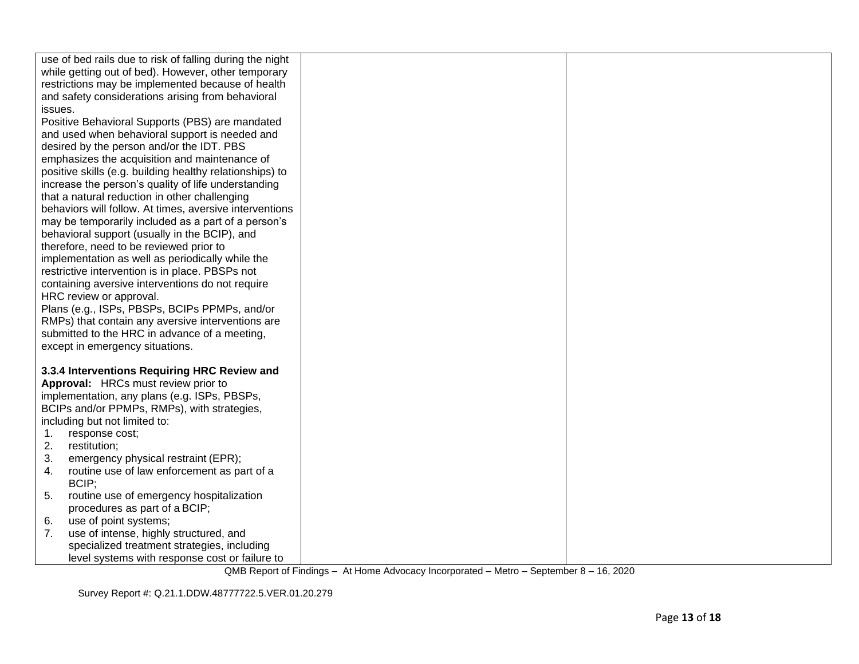| use of bed rails due to risk of falling during the night<br>while getting out of bed). However, other temporary<br>restrictions may be implemented because of health<br>and safety considerations arising from behavioral<br>issues.<br>Positive Behavioral Supports (PBS) are mandated<br>and used when behavioral support is needed and<br>desired by the person and/or the IDT. PBS<br>emphasizes the acquisition and maintenance of<br>positive skills (e.g. building healthy relationships) to<br>increase the person's quality of life understanding<br>that a natural reduction in other challenging<br>behaviors will follow. At times, aversive interventions<br>may be temporarily included as a part of a person's<br>behavioral support (usually in the BCIP), and<br>therefore, need to be reviewed prior to<br>implementation as well as periodically while the<br>restrictive intervention is in place. PBSPs not<br>containing aversive interventions do not require<br>HRC review or approval.<br>Plans (e.g., ISPs, PBSPs, BCIPs PPMPs, and/or<br>RMPs) that contain any aversive interventions are<br>submitted to the HRC in advance of a meeting,<br>except in emergency situations. |  |
|-----------------------------------------------------------------------------------------------------------------------------------------------------------------------------------------------------------------------------------------------------------------------------------------------------------------------------------------------------------------------------------------------------------------------------------------------------------------------------------------------------------------------------------------------------------------------------------------------------------------------------------------------------------------------------------------------------------------------------------------------------------------------------------------------------------------------------------------------------------------------------------------------------------------------------------------------------------------------------------------------------------------------------------------------------------------------------------------------------------------------------------------------------------------------------------------------------------|--|
|                                                                                                                                                                                                                                                                                                                                                                                                                                                                                                                                                                                                                                                                                                                                                                                                                                                                                                                                                                                                                                                                                                                                                                                                           |  |
| 3.3.4 Interventions Requiring HRC Review and                                                                                                                                                                                                                                                                                                                                                                                                                                                                                                                                                                                                                                                                                                                                                                                                                                                                                                                                                                                                                                                                                                                                                              |  |
| Approval: HRCs must review prior to                                                                                                                                                                                                                                                                                                                                                                                                                                                                                                                                                                                                                                                                                                                                                                                                                                                                                                                                                                                                                                                                                                                                                                       |  |
| implementation, any plans (e.g. ISPs, PBSPs,                                                                                                                                                                                                                                                                                                                                                                                                                                                                                                                                                                                                                                                                                                                                                                                                                                                                                                                                                                                                                                                                                                                                                              |  |
| BCIPs and/or PPMPs, RMPs), with strategies,                                                                                                                                                                                                                                                                                                                                                                                                                                                                                                                                                                                                                                                                                                                                                                                                                                                                                                                                                                                                                                                                                                                                                               |  |
| including but not limited to:                                                                                                                                                                                                                                                                                                                                                                                                                                                                                                                                                                                                                                                                                                                                                                                                                                                                                                                                                                                                                                                                                                                                                                             |  |
| $1_{\cdot}$<br>response cost;                                                                                                                                                                                                                                                                                                                                                                                                                                                                                                                                                                                                                                                                                                                                                                                                                                                                                                                                                                                                                                                                                                                                                                             |  |
| 2.<br>restitution;                                                                                                                                                                                                                                                                                                                                                                                                                                                                                                                                                                                                                                                                                                                                                                                                                                                                                                                                                                                                                                                                                                                                                                                        |  |
| 3.<br>emergency physical restraint (EPR);                                                                                                                                                                                                                                                                                                                                                                                                                                                                                                                                                                                                                                                                                                                                                                                                                                                                                                                                                                                                                                                                                                                                                                 |  |
| routine use of law enforcement as part of a<br>4.<br>BCIP;                                                                                                                                                                                                                                                                                                                                                                                                                                                                                                                                                                                                                                                                                                                                                                                                                                                                                                                                                                                                                                                                                                                                                |  |
| routine use of emergency hospitalization<br>5.                                                                                                                                                                                                                                                                                                                                                                                                                                                                                                                                                                                                                                                                                                                                                                                                                                                                                                                                                                                                                                                                                                                                                            |  |
| procedures as part of a BCIP;                                                                                                                                                                                                                                                                                                                                                                                                                                                                                                                                                                                                                                                                                                                                                                                                                                                                                                                                                                                                                                                                                                                                                                             |  |
| use of point systems;<br>6.                                                                                                                                                                                                                                                                                                                                                                                                                                                                                                                                                                                                                                                                                                                                                                                                                                                                                                                                                                                                                                                                                                                                                                               |  |
| use of intense, highly structured, and<br>7.                                                                                                                                                                                                                                                                                                                                                                                                                                                                                                                                                                                                                                                                                                                                                                                                                                                                                                                                                                                                                                                                                                                                                              |  |
| specialized treatment strategies, including                                                                                                                                                                                                                                                                                                                                                                                                                                                                                                                                                                                                                                                                                                                                                                                                                                                                                                                                                                                                                                                                                                                                                               |  |
| level systems with response cost or failure to                                                                                                                                                                                                                                                                                                                                                                                                                                                                                                                                                                                                                                                                                                                                                                                                                                                                                                                                                                                                                                                                                                                                                            |  |

Survey Report #: Q.21.1.DDW.48777722.5.VER.01.20.279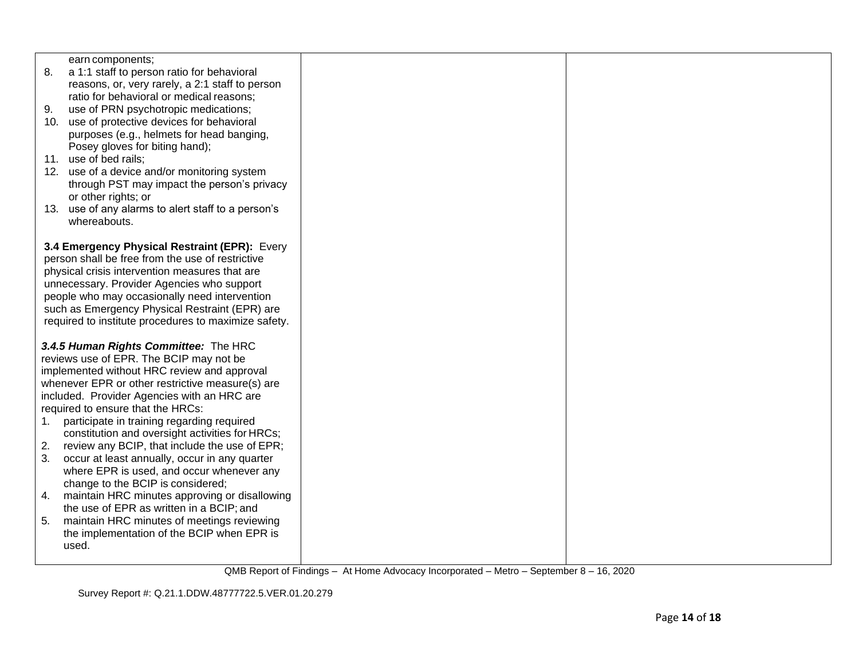| earn components;<br>8.<br>a 1:1 staff to person ratio for behavioral<br>reasons, or, very rarely, a 2:1 staff to person<br>ratio for behavioral or medical reasons;<br>use of PRN psychotropic medications;<br>9.<br>10. use of protective devices for behavioral<br>purposes (e.g., helmets for head banging,<br>Posey gloves for biting hand);<br>11. use of bed rails;<br>12. use of a device and/or monitoring system<br>through PST may impact the person's privacy<br>or other rights; or<br>13. use of any alarms to alert staff to a person's<br>whereabouts.                                                                                                                                                                                                                        |  |
|----------------------------------------------------------------------------------------------------------------------------------------------------------------------------------------------------------------------------------------------------------------------------------------------------------------------------------------------------------------------------------------------------------------------------------------------------------------------------------------------------------------------------------------------------------------------------------------------------------------------------------------------------------------------------------------------------------------------------------------------------------------------------------------------|--|
| 3.4 Emergency Physical Restraint (EPR): Every<br>person shall be free from the use of restrictive<br>physical crisis intervention measures that are<br>unnecessary. Provider Agencies who support<br>people who may occasionally need intervention<br>such as Emergency Physical Restraint (EPR) are<br>required to institute procedures to maximize safety.                                                                                                                                                                                                                                                                                                                                                                                                                                 |  |
| 3.4.5 Human Rights Committee: The HRC<br>reviews use of EPR. The BCIP may not be<br>implemented without HRC review and approval<br>whenever EPR or other restrictive measure(s) are<br>included. Provider Agencies with an HRC are<br>required to ensure that the HRCs:<br>participate in training regarding required<br>1.<br>constitution and oversight activities for HRCs;<br>review any BCIP, that include the use of EPR;<br>2.<br>occur at least annually, occur in any quarter<br>3.<br>where EPR is used, and occur whenever any<br>change to the BCIP is considered;<br>maintain HRC minutes approving or disallowing<br>4.<br>the use of EPR as written in a BCIP; and<br>maintain HRC minutes of meetings reviewing<br>5.<br>the implementation of the BCIP when EPR is<br>used. |  |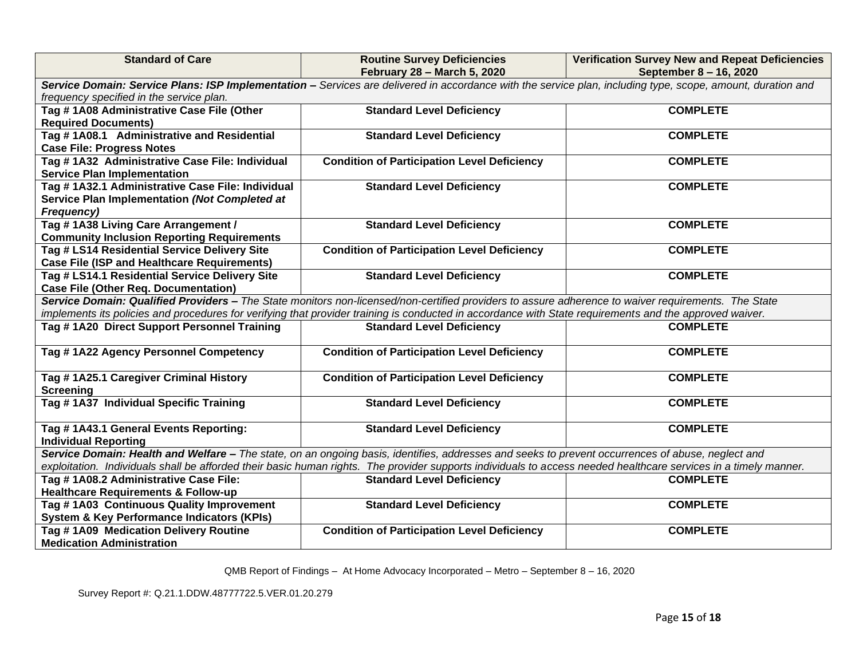| <b>Standard of Care</b>                                                                                                                                          | <b>Routine Survey Deficiencies</b><br>February 28 - March 5, 2020 | <b>Verification Survey New and Repeat Deficiencies</b><br>September 8 - 16, 2020 |  |  |  |
|------------------------------------------------------------------------------------------------------------------------------------------------------------------|-------------------------------------------------------------------|----------------------------------------------------------------------------------|--|--|--|
| Service Domain: Service Plans: ISP Implementation - Services are delivered in accordance with the service plan, including type, scope, amount, duration and      |                                                                   |                                                                                  |  |  |  |
| frequency specified in the service plan.                                                                                                                         |                                                                   |                                                                                  |  |  |  |
| Tag # 1A08 Administrative Case File (Other                                                                                                                       | <b>Standard Level Deficiency</b>                                  | <b>COMPLETE</b>                                                                  |  |  |  |
| <b>Required Documents)</b>                                                                                                                                       |                                                                   |                                                                                  |  |  |  |
| Tag #1A08.1 Administrative and Residential                                                                                                                       | <b>Standard Level Deficiency</b>                                  | <b>COMPLETE</b>                                                                  |  |  |  |
| <b>Case File: Progress Notes</b>                                                                                                                                 |                                                                   |                                                                                  |  |  |  |
| Tag # 1A32 Administrative Case File: Individual                                                                                                                  | <b>Condition of Participation Level Deficiency</b>                | <b>COMPLETE</b>                                                                  |  |  |  |
| <b>Service Plan Implementation</b>                                                                                                                               |                                                                   |                                                                                  |  |  |  |
| Tag # 1A32.1 Administrative Case File: Individual                                                                                                                | <b>Standard Level Deficiency</b>                                  | <b>COMPLETE</b>                                                                  |  |  |  |
| Service Plan Implementation (Not Completed at                                                                                                                    |                                                                   |                                                                                  |  |  |  |
| <b>Frequency)</b>                                                                                                                                                |                                                                   |                                                                                  |  |  |  |
| Tag #1A38 Living Care Arrangement /                                                                                                                              | <b>Standard Level Deficiency</b>                                  | <b>COMPLETE</b>                                                                  |  |  |  |
| <b>Community Inclusion Reporting Requirements</b>                                                                                                                |                                                                   |                                                                                  |  |  |  |
| Tag # LS14 Residential Service Delivery Site                                                                                                                     | <b>Condition of Participation Level Deficiency</b>                | <b>COMPLETE</b>                                                                  |  |  |  |
| <b>Case File (ISP and Healthcare Requirements)</b>                                                                                                               |                                                                   |                                                                                  |  |  |  |
| Tag # LS14.1 Residential Service Delivery Site                                                                                                                   | <b>Standard Level Deficiency</b>                                  | <b>COMPLETE</b>                                                                  |  |  |  |
| <b>Case File (Other Req. Documentation)</b>                                                                                                                      |                                                                   |                                                                                  |  |  |  |
| Service Domain: Qualified Providers - The State monitors non-licensed/non-certified providers to assure adherence to waiver requirements. The State              |                                                                   |                                                                                  |  |  |  |
| implements its policies and procedures for verifying that provider training is conducted in accordance with State requirements and the approved waiver.          |                                                                   |                                                                                  |  |  |  |
| Tag #1A20 Direct Support Personnel Training                                                                                                                      | <b>Standard Level Deficiency</b>                                  | <b>COMPLETE</b>                                                                  |  |  |  |
| Tag #1A22 Agency Personnel Competency                                                                                                                            | <b>Condition of Participation Level Deficiency</b>                | <b>COMPLETE</b>                                                                  |  |  |  |
| Tag # 1A25.1 Caregiver Criminal History                                                                                                                          | <b>Condition of Participation Level Deficiency</b>                | <b>COMPLETE</b>                                                                  |  |  |  |
| <b>Screening</b>                                                                                                                                                 |                                                                   |                                                                                  |  |  |  |
| Tag # 1A37 Individual Specific Training                                                                                                                          | <b>Standard Level Deficiency</b>                                  | <b>COMPLETE</b>                                                                  |  |  |  |
| Tag # 1A43.1 General Events Reporting:                                                                                                                           | <b>Standard Level Deficiency</b>                                  | <b>COMPLETE</b>                                                                  |  |  |  |
| <b>Individual Reporting</b>                                                                                                                                      |                                                                   |                                                                                  |  |  |  |
| Service Domain: Health and Welfare - The state, on an ongoing basis, identifies, addresses and seeks to prevent occurrences of abuse, neglect and                |                                                                   |                                                                                  |  |  |  |
| exploitation. Individuals shall be afforded their basic human rights. The provider supports individuals to access needed healthcare services in a timely manner. |                                                                   |                                                                                  |  |  |  |
| Tag # 1A08.2 Administrative Case File:                                                                                                                           | <b>Standard Level Deficiency</b>                                  | <b>COMPLETE</b>                                                                  |  |  |  |
| <b>Healthcare Requirements &amp; Follow-up</b>                                                                                                                   |                                                                   |                                                                                  |  |  |  |
| Tag #1A03 Continuous Quality Improvement                                                                                                                         | <b>Standard Level Deficiency</b>                                  | <b>COMPLETE</b>                                                                  |  |  |  |
| <b>System &amp; Key Performance Indicators (KPIs)</b>                                                                                                            |                                                                   |                                                                                  |  |  |  |
| Tag #1A09 Medication Delivery Routine                                                                                                                            | <b>Condition of Participation Level Deficiency</b>                | <b>COMPLETE</b>                                                                  |  |  |  |
| <b>Medication Administration</b>                                                                                                                                 |                                                                   |                                                                                  |  |  |  |

Survey Report #: Q.21.1.DDW.48777722.5.VER.01.20.279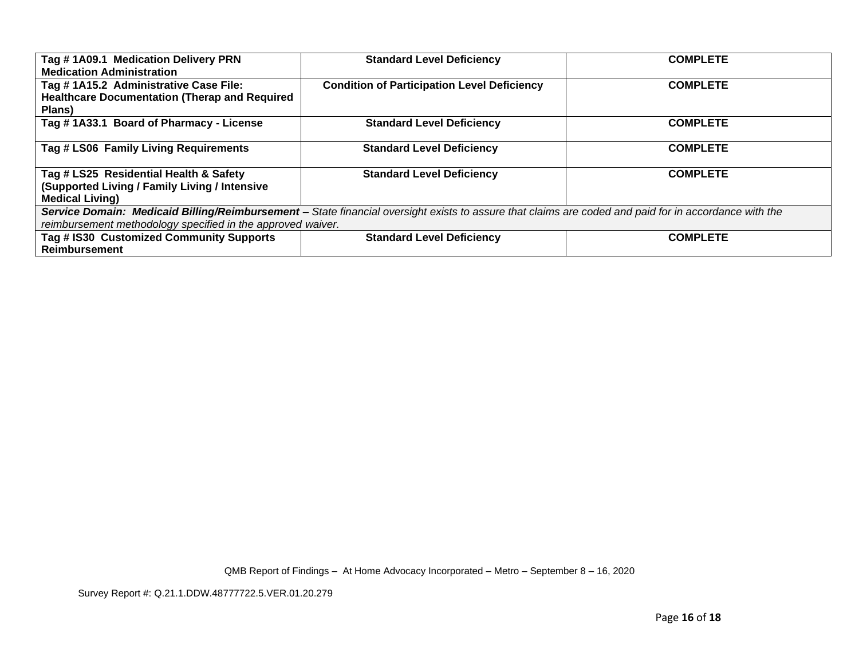| Tag #1A09.1 Medication Delivery PRN<br><b>Medication Administration</b>                                                                                                                                              | <b>Standard Level Deficiency</b>                   | <b>COMPLETE</b> |  |  |
|----------------------------------------------------------------------------------------------------------------------------------------------------------------------------------------------------------------------|----------------------------------------------------|-----------------|--|--|
| Tag #1A15.2 Administrative Case File:<br><b>Healthcare Documentation (Therap and Required</b><br>Plans)                                                                                                              | <b>Condition of Participation Level Deficiency</b> | <b>COMPLETE</b> |  |  |
| Tag #1A33.1 Board of Pharmacy - License                                                                                                                                                                              | <b>Standard Level Deficiency</b>                   | <b>COMPLETE</b> |  |  |
| Tag # LS06 Family Living Requirements                                                                                                                                                                                | <b>Standard Level Deficiency</b>                   | <b>COMPLETE</b> |  |  |
| Tag # LS25 Residential Health & Safety<br>(Supported Living / Family Living / Intensive<br><b>Medical Living)</b>                                                                                                    | <b>Standard Level Deficiency</b>                   | <b>COMPLETE</b> |  |  |
| Service Domain: Medicaid Billing/Reimbursement - State financial oversight exists to assure that claims are coded and paid for in accordance with the<br>reimbursement methodology specified in the approved waiver. |                                                    |                 |  |  |
| Tag # IS30 Customized Community Supports<br><b>Reimbursement</b>                                                                                                                                                     | <b>Standard Level Deficiency</b>                   | <b>COMPLETE</b> |  |  |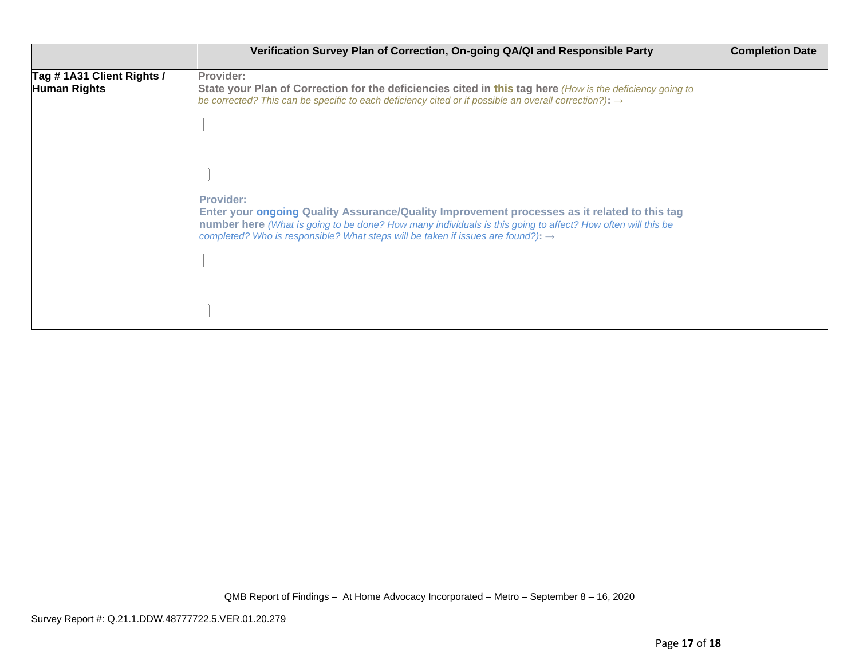|                                                  | Verification Survey Plan of Correction, On-going QA/QI and Responsible Party                                                                                                                                                                                                                                                    | <b>Completion Date</b> |
|--------------------------------------------------|---------------------------------------------------------------------------------------------------------------------------------------------------------------------------------------------------------------------------------------------------------------------------------------------------------------------------------|------------------------|
| Tag #1A31 Client Rights /<br><b>Human Rights</b> | Provider:<br>State your Plan of Correction for the deficiencies cited in this tag here (How is the deficiency going to<br>be corrected? This can be specific to each deficiency cited or if possible an overall correction?): $\rightarrow$                                                                                     |                        |
|                                                  | <b>Provider:</b><br>Enter your ongoing Quality Assurance/Quality Improvement processes as it related to this tag<br>number here (What is going to be done? How many individuals is this going to affect? How often will this be<br>completed? Who is responsible? What steps will be taken if issues are found?): $\rightarrow$ |                        |